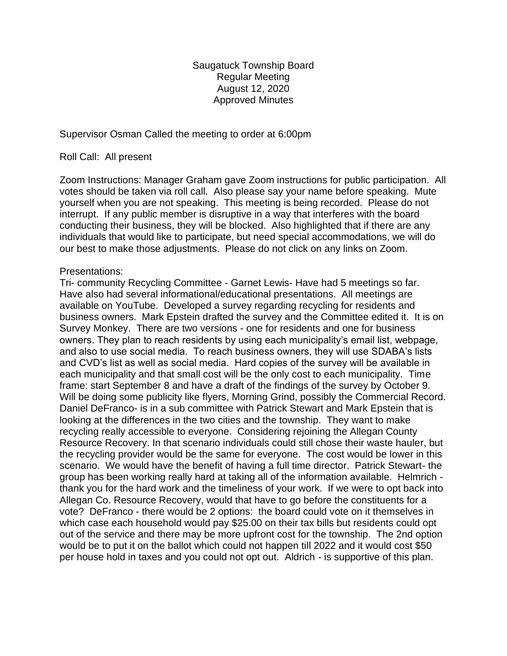Saugatuck Township Board Regular Meeting August 12, 2020 Approved Minutes

Supervisor Osman Called the meeting to order at 6:00pm

### Roll Call: All present

Zoom Instructions: Manager Graham gave Zoom instructions for public participation. All votes should be taken via roll call. Also please say your name before speaking. Mute yourself when you are not speaking. This meeting is being recorded. Please do not interrupt. If any public member is disruptive in a way that interferes with the board conducting their business, they will be blocked. Also highlighted that if there are any individuals that would like to participate, but need special accommodations, we will do our best to make those adjustments. Please do not click on any links on Zoom.

### Presentations:

Tri- community Recycling Committee - Garnet Lewis- Have had 5 meetings so far. Have also had several informational/educational presentations. All meetings are available on YouTube. Developed a survey regarding recycling for residents and business owners. Mark Epstein drafted the survey and the Committee edited it. It is on Survey Monkey. There are two versions - one for residents and one for business owners. They plan to reach residents by using each municipality's email list, webpage, and also to use social media. To reach business owners, they will use SDABA's lists and CVD's list as well as social media. Hard copies of the survey will be available in each municipality and that small cost will be the only cost to each municipality. Time frame: start September 8 and have a draft of the findings of the survey by October 9. Will be doing some publicity like flyers, Morning Grind, possibly the Commercial Record. Daniel DeFranco- is in a sub committee with Patrick Stewart and Mark Epstein that is looking at the differences in the two cities and the township. They want to make recycling really accessible to everyone. Considering rejoining the Allegan County Resource Recovery. In that scenario individuals could still chose their waste hauler, but the recycling provider would be the same for everyone. The cost would be lower in this scenario. We would have the benefit of having a full time director. Patrick Stewart- the group has been working really hard at taking all of the information available. Helmrich thank you for the hard work and the timeliness of your work. If we were to opt back into Allegan Co. Resource Recovery, would that have to go before the constituents for a vote? DeFranco - there would be 2 options: the board could vote on it themselves in which case each household would pay \$25.00 on their tax bills but residents could opt out of the service and there may be more upfront cost for the township. The 2nd option would be to put it on the ballot which could not happen till 2022 and it would cost \$50 per house hold in taxes and you could not opt out. Aldrich - is supportive of this plan.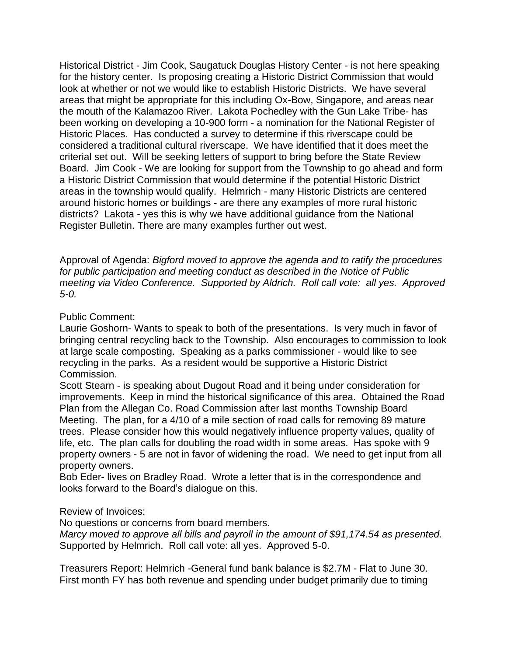Historical District - Jim Cook, Saugatuck Douglas History Center - is not here speaking for the history center. Is proposing creating a Historic District Commission that would look at whether or not we would like to establish Historic Districts. We have several areas that might be appropriate for this including Ox-Bow, Singapore, and areas near the mouth of the Kalamazoo River. Lakota Pochedley with the Gun Lake Tribe- has been working on developing a 10-900 form - a nomination for the National Register of Historic Places. Has conducted a survey to determine if this riverscape could be considered a traditional cultural riverscape. We have identified that it does meet the criterial set out. Will be seeking letters of support to bring before the State Review Board. Jim Cook - We are looking for support from the Township to go ahead and form a Historic District Commission that would determine if the potential Historic District areas in the township would qualify. Helmrich - many Historic Districts are centered around historic homes or buildings - are there any examples of more rural historic districts? Lakota - yes this is why we have additional guidance from the National Register Bulletin. There are many examples further out west.

Approval of Agenda: *Bigford moved to approve the agenda and to ratify the procedures for public participation and meeting conduct as described in the Notice of Public meeting via Video Conference. Supported by Aldrich. Roll call vote: all yes. Approved 5-0.*

## Public Comment:

Laurie Goshorn- Wants to speak to both of the presentations. Is very much in favor of bringing central recycling back to the Township. Also encourages to commission to look at large scale composting. Speaking as a parks commissioner - would like to see recycling in the parks. As a resident would be supportive a Historic District Commission.

Scott Stearn - is speaking about Dugout Road and it being under consideration for improvements. Keep in mind the historical significance of this area. Obtained the Road Plan from the Allegan Co. Road Commission after last months Township Board Meeting. The plan, for a 4/10 of a mile section of road calls for removing 89 mature trees. Please consider how this would negatively influence property values, quality of life, etc. The plan calls for doubling the road width in some areas. Has spoke with 9 property owners - 5 are not in favor of widening the road. We need to get input from all property owners.

Bob Eder- lives on Bradley Road. Wrote a letter that is in the correspondence and looks forward to the Board's dialogue on this.

# Review of Invoices:

No questions or concerns from board members.

*Marcy moved to approve all bills and payroll in the amount of \$91,174.54 as presented.* Supported by Helmrich. Roll call vote: all yes. Approved 5-0.

Treasurers Report: Helmrich -General fund bank balance is \$2.7M - Flat to June 30. First month FY has both revenue and spending under budget primarily due to timing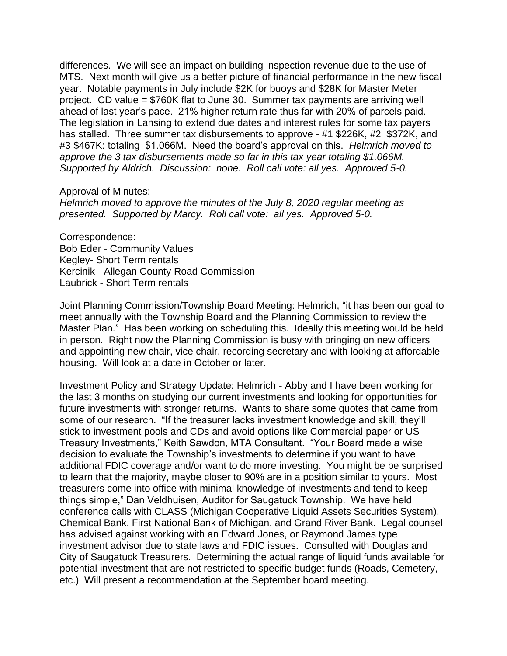differences. We will see an impact on building inspection revenue due to the use of MTS. Next month will give us a better picture of financial performance in the new fiscal year. Notable payments in July include \$2K for buoys and \$28K for Master Meter project. CD value = \$760K flat to June 30. Summer tax payments are arriving well ahead of last year's pace. 21% higher return rate thus far with 20% of parcels paid. The legislation in Lansing to extend due dates and interest rules for some tax payers has stalled. Three summer tax disbursements to approve - #1 \$226K, #2 \$372K, and #3 \$467K: totaling \$1.066M. Need the board's approval on this. *Helmrich moved to approve the 3 tax disbursements made so far in this tax year totaling \$1.066M. Supported by Aldrich. Discussion: none. Roll call vote: all yes. Approved 5-0.*

#### Approval of Minutes:

*Helmrich moved to approve the minutes of the July 8, 2020 regular meeting as presented. Supported by Marcy. Roll call vote: all yes. Approved 5-0.* 

Correspondence: Bob Eder - Community Values Kegley- Short Term rentals Kercinik - Allegan County Road Commission Laubrick - Short Term rentals

Joint Planning Commission/Township Board Meeting: Helmrich, "it has been our goal to meet annually with the Township Board and the Planning Commission to review the Master Plan." Has been working on scheduling this. Ideally this meeting would be held in person. Right now the Planning Commission is busy with bringing on new officers and appointing new chair, vice chair, recording secretary and with looking at affordable housing. Will look at a date in October or later.

Investment Policy and Strategy Update: Helmrich - Abby and I have been working for the last 3 months on studying our current investments and looking for opportunities for future investments with stronger returns. Wants to share some quotes that came from some of our research. "If the treasurer lacks investment knowledge and skill, they'll stick to investment pools and CDs and avoid options like Commercial paper or US Treasury Investments," Keith Sawdon, MTA Consultant. "Your Board made a wise decision to evaluate the Township's investments to determine if you want to have additional FDIC coverage and/or want to do more investing. You might be be surprised to learn that the majority, maybe closer to 90% are in a position similar to yours. Most treasurers come into office with minimal knowledge of investments and tend to keep things simple," Dan Veldhuisen, Auditor for Saugatuck Township. We have held conference calls with CLASS (Michigan Cooperative Liquid Assets Securities System), Chemical Bank, First National Bank of Michigan, and Grand River Bank. Legal counsel has advised against working with an Edward Jones, or Raymond James type investment advisor due to state laws and FDIC issues. Consulted with Douglas and City of Saugatuck Treasurers. Determining the actual range of liquid funds available for potential investment that are not restricted to specific budget funds (Roads, Cemetery, etc.) Will present a recommendation at the September board meeting.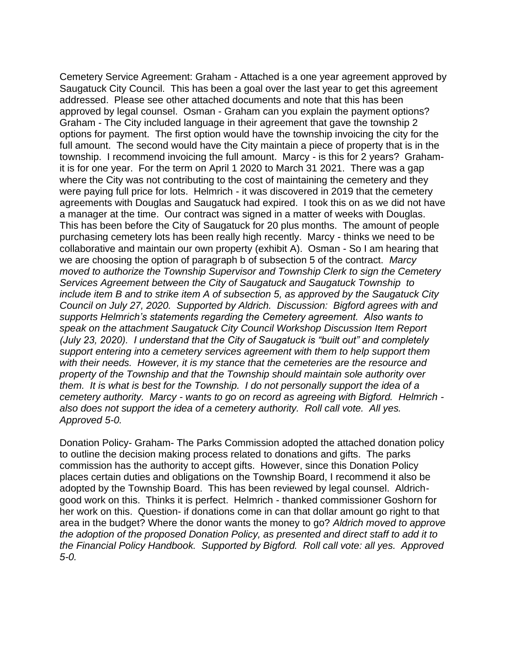Cemetery Service Agreement: Graham - Attached is a one year agreement approved by Saugatuck City Council. This has been a goal over the last year to get this agreement addressed. Please see other attached documents and note that this has been approved by legal counsel. Osman - Graham can you explain the payment options? Graham - The City included language in their agreement that gave the township 2 options for payment. The first option would have the township invoicing the city for the full amount. The second would have the City maintain a piece of property that is in the township. I recommend invoicing the full amount. Marcy - is this for 2 years? Grahamit is for one year. For the term on April 1 2020 to March 31 2021. There was a gap where the City was not contributing to the cost of maintaining the cemetery and they were paying full price for lots. Helmrich - it was discovered in 2019 that the cemetery agreements with Douglas and Saugatuck had expired. I took this on as we did not have a manager at the time. Our contract was signed in a matter of weeks with Douglas. This has been before the City of Saugatuck for 20 plus months. The amount of people purchasing cemetery lots has been really high recently. Marcy - thinks we need to be collaborative and maintain our own property (exhibit A). Osman - So I am hearing that we are choosing the option of paragraph b of subsection 5 of the contract. *Marcy moved to authorize the Township Supervisor and Township Clerk to sign the Cemetery Services Agreement between the City of Saugatuck and Saugatuck Township to include item B and to strike item A of subsection 5, as approved by the Saugatuck City Council on July 27, 2020. Supported by Aldrich. Discussion: Bigford agrees with and supports Helmrich's statements regarding the Cemetery agreement. Also wants to speak on the attachment Saugatuck City Council Workshop Discussion Item Report (July 23, 2020). I understand that the City of Saugatuck is "built out" and completely support entering into a cemetery services agreement with them to help support them with their needs. However, it is my stance that the cemeteries are the resource and property of the Township and that the Township should maintain sole authority over them. It is what is best for the Township. I do not personally support the idea of a cemetery authority. Marcy - wants to go on record as agreeing with Bigford. Helmrich also does not support the idea of a cemetery authority. Roll call vote. All yes. Approved 5-0.*

Donation Policy- Graham- The Parks Commission adopted the attached donation policy to outline the decision making process related to donations and gifts. The parks commission has the authority to accept gifts. However, since this Donation Policy places certain duties and obligations on the Township Board, I recommend it also be adopted by the Township Board. This has been reviewed by legal counsel. Aldrichgood work on this. Thinks it is perfect. Helmrich - thanked commissioner Goshorn for her work on this. Question- if donations come in can that dollar amount go right to that area in the budget? Where the donor wants the money to go? *Aldrich moved to approve the adoption of the proposed Donation Policy, as presented and direct staff to add it to the Financial Policy Handbook. Supported by Bigford. Roll call vote: all yes. Approved 5-0.*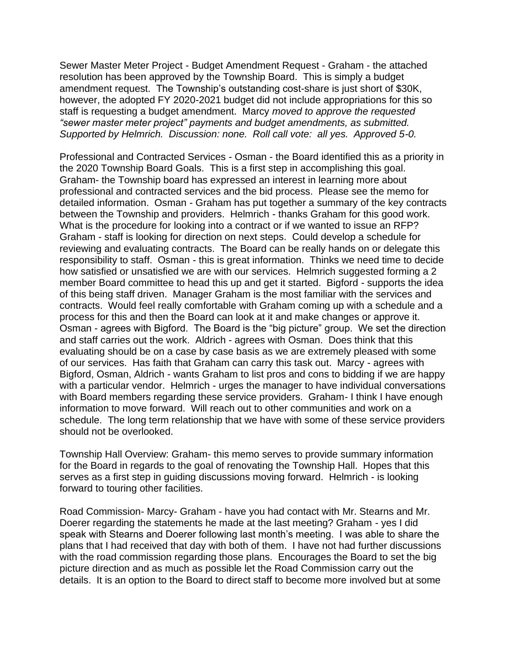Sewer Master Meter Project - Budget Amendment Request - Graham - the attached resolution has been approved by the Township Board. This is simply a budget amendment request. The Township's outstanding cost-share is just short of \$30K, however, the adopted FY 2020-2021 budget did not include appropriations for this so staff is requesting a budget amendment. Marcy *moved to approve the requested "sewer master meter project" payments and budget amendments, as submitted. Supported by Helmrich. Discussion: none. Roll call vote: all yes. Approved 5-0.*

Professional and Contracted Services - Osman - the Board identified this as a priority in the 2020 Township Board Goals. This is a first step in accomplishing this goal. Graham- the Township board has expressed an interest in learning more about professional and contracted services and the bid process. Please see the memo for detailed information. Osman - Graham has put together a summary of the key contracts between the Township and providers. Helmrich - thanks Graham for this good work. What is the procedure for looking into a contract or if we wanted to issue an RFP? Graham - staff is looking for direction on next steps. Could develop a schedule for reviewing and evaluating contracts. The Board can be really hands on or delegate this responsibility to staff. Osman - this is great information. Thinks we need time to decide how satisfied or unsatisfied we are with our services. Helmrich suggested forming a 2 member Board committee to head this up and get it started. Bigford - supports the idea of this being staff driven. Manager Graham is the most familiar with the services and contracts. Would feel really comfortable with Graham coming up with a schedule and a process for this and then the Board can look at it and make changes or approve it. Osman - agrees with Bigford. The Board is the "big picture" group. We set the direction and staff carries out the work. Aldrich - agrees with Osman. Does think that this evaluating should be on a case by case basis as we are extremely pleased with some of our services. Has faith that Graham can carry this task out. Marcy - agrees with Bigford, Osman, Aldrich - wants Graham to list pros and cons to bidding if we are happy with a particular vendor. Helmrich - urges the manager to have individual conversations with Board members regarding these service providers. Graham- I think I have enough information to move forward. Will reach out to other communities and work on a schedule. The long term relationship that we have with some of these service providers should not be overlooked.

Township Hall Overview: Graham- this memo serves to provide summary information for the Board in regards to the goal of renovating the Township Hall. Hopes that this serves as a first step in guiding discussions moving forward. Helmrich - is looking forward to touring other facilities.

Road Commission- Marcy- Graham - have you had contact with Mr. Stearns and Mr. Doerer regarding the statements he made at the last meeting? Graham - yes I did speak with Stearns and Doerer following last month's meeting. I was able to share the plans that I had received that day with both of them. I have not had further discussions with the road commission regarding those plans. Encourages the Board to set the big picture direction and as much as possible let the Road Commission carry out the details. It is an option to the Board to direct staff to become more involved but at some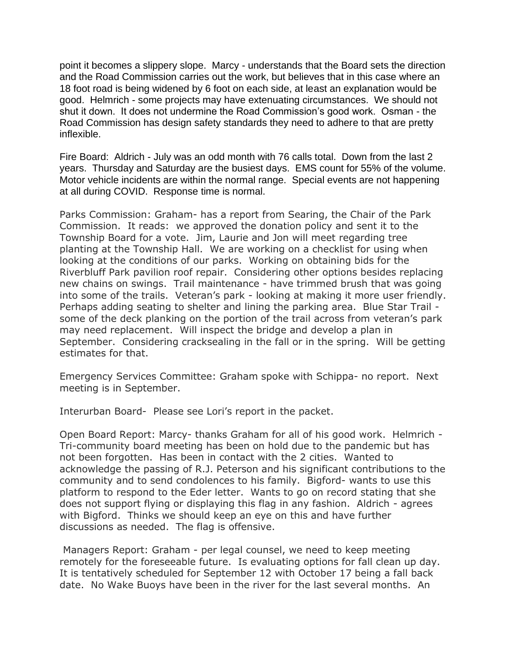point it becomes a slippery slope. Marcy - understands that the Board sets the direction and the Road Commission carries out the work, but believes that in this case where an 18 foot road is being widened by 6 foot on each side, at least an explanation would be good. Helmrich - some projects may have extenuating circumstances. We should not shut it down. It does not undermine the Road Commission's good work. Osman - the Road Commission has design safety standards they need to adhere to that are pretty inflexible.

Fire Board: Aldrich - July was an odd month with 76 calls total. Down from the last 2 years. Thursday and Saturday are the busiest days. EMS count for 55% of the volume. Motor vehicle incidents are within the normal range. Special events are not happening at all during COVID. Response time is normal.

Parks Commission: Graham- has a report from Searing, the Chair of the Park Commission. It reads: we approved the donation policy and sent it to the Township Board for a vote. Jim, Laurie and Jon will meet regarding tree planting at the Township Hall. We are working on a checklist for using when looking at the conditions of our parks. Working on obtaining bids for the Riverbluff Park pavilion roof repair. Considering other options besides replacing new chains on swings. Trail maintenance - have trimmed brush that was going into some of the trails. Veteran's park - looking at making it more user friendly. Perhaps adding seating to shelter and lining the parking area. Blue Star Trail some of the deck planking on the portion of the trail across from veteran's park may need replacement. Will inspect the bridge and develop a plan in September. Considering cracksealing in the fall or in the spring. Will be getting estimates for that.

Emergency Services Committee: Graham spoke with Schippa- no report. Next meeting is in September.

Interurban Board- Please see Lori's report in the packet.

Open Board Report: Marcy- thanks Graham for all of his good work. Helmrich - Tri-community board meeting has been on hold due to the pandemic but has not been forgotten. Has been in contact with the 2 cities. Wanted to acknowledge the passing of R.J. Peterson and his significant contributions to the community and to send condolences to his family. Bigford- wants to use this platform to respond to the Eder letter. Wants to go on record stating that she does not support flying or displaying this flag in any fashion. Aldrich - agrees with Bigford. Thinks we should keep an eye on this and have further discussions as needed. The flag is offensive.

Managers Report: Graham - per legal counsel, we need to keep meeting remotely for the foreseeable future. Is evaluating options for fall clean up day. It is tentatively scheduled for September 12 with October 17 being a fall back date. No Wake Buoys have been in the river for the last several months. An